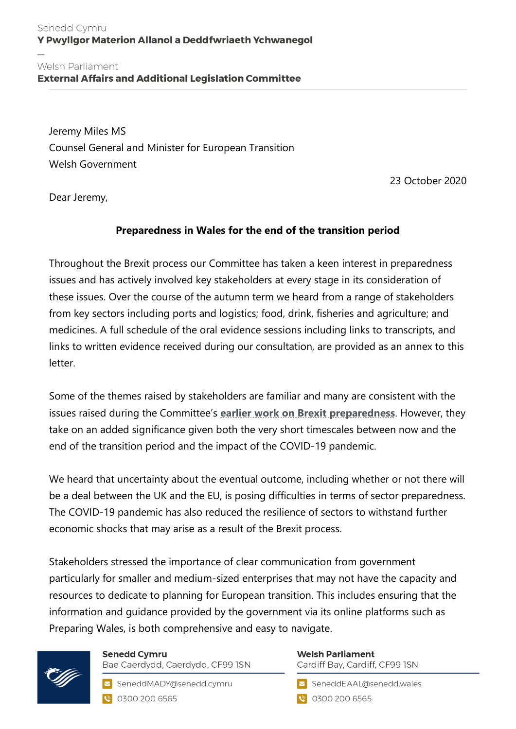## Senedd Cymru Y Pwyllgor Materion Allanol a Deddfwriaeth Ychwanegol

Welsh Parliament<br>External Affairs and Additional Legislation Committee

Jeremy Miles MS Counsel General and Minister for European Transition Welsh Government

23 October 2020

Dear Jeremy,

# **Preparedness in Wales for the end of the transition period**

Throughout the Brexit process our Committee has taken a keen interest in preparedness issues and has actively involved key stakeholders at every stage in its consideration of these issues. Over the course of the autumn term we heard from a range of stakeholders from key sectors including ports and logistics; food, drink, fisheries and agriculture; and medicines. A full schedule of the oral evidence sessions including links to transcripts, and links to written evidence received during our consultation, are provided as an annex to this letter.

Some of the themes raised by stakeholders are familiar and many are consistent with the issues raised during the Committee's **[earlier work on Brexit preparedness](https://business.senedd.wales/mgIssueHistoryHome.aspx?IId=25020)**. However, they take on an added significance given both the very short timescales between now and the end of the transition period and the impact of the COVID-19 pandemic.

We heard that uncertainty about the eventual outcome, including whether or not there will be a deal between the UK and the EU, is posing difficulties in terms of sector preparedness. The COVID-19 pandemic has also reduced the resilience of sectors to withstand further economic shocks that may arise as a result of the Brexit process.

Stakeholders stressed the importance of clear communication from government particularly for smaller and medium-sized enterprises that may not have the capacity and resources to dedicate to planning for European transition. This includes ensuring that the information and guidance provided by the government via its online platforms such as Preparing Wales, is both comprehensive and easy to navigate.



**Senedd Cymru** Bae Caerdydd, Caerdydd, CF99 ISN

SeneddMADY@senedd.cymru C 0300 200 6565

#### **Welsh Parliament** Cardiff Bay, Cardiff, CF99 ISN

SeneddEAAL@senedd.wales

● 0300 200 6565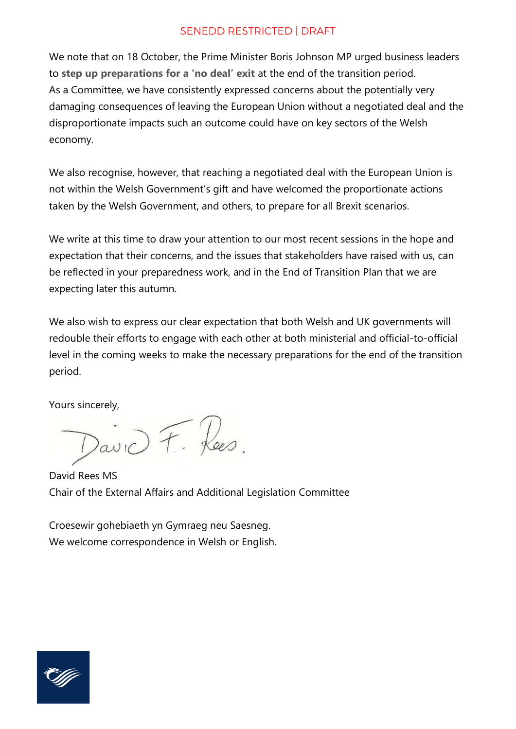#### SENEDD RESTRICTED | DRAFT

We note that on 18 October, the Prime Minister Boris Johnson MP urged business leaders to **[step up preparations for a 'no deal' exit](https://www.gov.uk/government/news/time-is-running-out-for-businesses-to-prepare)** at the end of the transition period. As a Committee, we have consistently expressed concerns about the potentially very damaging consequences of leaving the European Union without a negotiated deal and the disproportionate impacts such an outcome could have on key sectors of the Welsh economy.

We also recognise, however, that reaching a negotiated deal with the European Union is not within the Welsh Government's gift and have welcomed the proportionate actions taken by the Welsh Government, and others, to prepare for all Brexit scenarios.

We write at this time to draw your attention to our most recent sessions in the hope and expectation that their concerns, and the issues that stakeholders have raised with us, can be reflected in your preparedness work, and in the End of Transition Plan that we are expecting later this autumn.

We also wish to express our clear expectation that both Welsh and UK governments will redouble their efforts to engage with each other at both ministerial and official-to-official level in the coming weeks to make the necessary preparations for the end of the transition period.

Yours sincerely,

David F. Rees.

David Rees MS Chair of the External Affairs and Additional Legislation Committee

Croesewir gohebiaeth yn Gymraeg neu Saesneg. We welcome correspondence in Welsh or English.

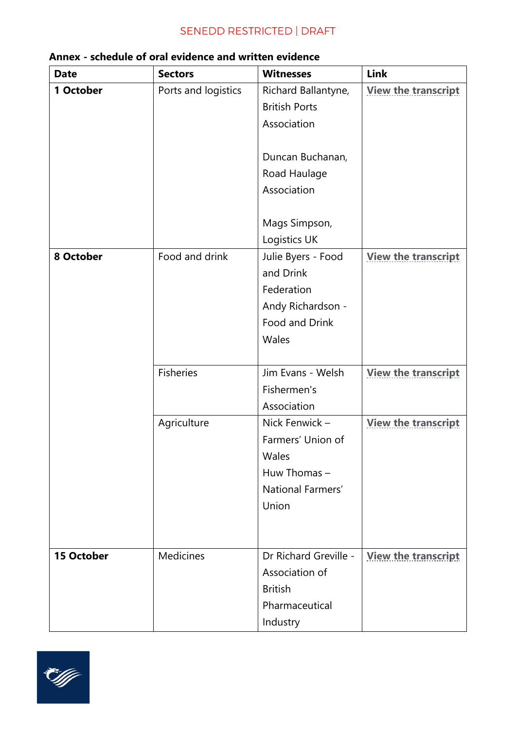# SENEDD RESTRICTED | DRAFT

| <b>Date</b>       | <b>Sectors</b>      | <b>Witnesses</b>                                                                                              | Link                       |
|-------------------|---------------------|---------------------------------------------------------------------------------------------------------------|----------------------------|
| 1 October         | Ports and logistics | Richard Ballantyne,<br><b>British Ports</b><br>Association<br>Duncan Buchanan,                                | <b>View the transcript</b> |
|                   |                     | Road Haulage<br>Association<br>Mags Simpson,                                                                  |                            |
| 8 October         | Food and drink      | Logistics UK<br>Julie Byers - Food<br>and Drink<br>Federation<br>Andy Richardson -<br>Food and Drink<br>Wales | <b>View the transcript</b> |
|                   | <b>Fisheries</b>    | Jim Evans - Welsh<br>Fishermen's<br>Association                                                               | <b>View the transcript</b> |
|                   | Agriculture         | Nick Fenwick -<br>Farmers' Union of<br>Wales<br>Huw Thomas -<br>National Farmers'<br>Union                    | <b>View the transcript</b> |
| <b>15 October</b> | Medicines           | Dr Richard Greville -<br>Association of<br><b>British</b><br>Pharmaceutical<br>Industry                       | <b>View the transcript</b> |

## **Annex - schedule of oral evidence and written evidence**